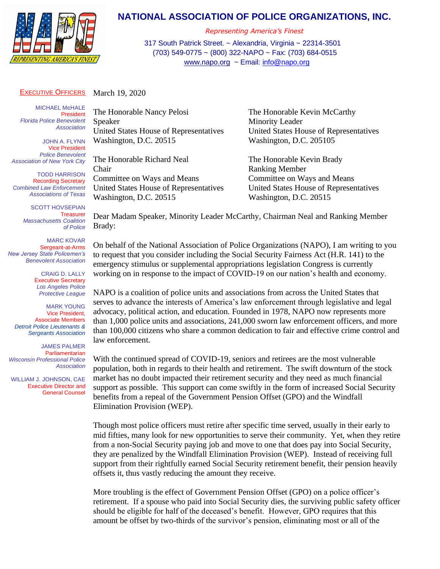

## **NATIONAL ASSOCIATION OF POLICE ORGANIZATIONS, INC.**

*Representing America's Finest*

317 South Patrick Street. ~ Alexandria, Virginia ~ 22314-3501 (703) 549-0775 ~ (800) 322-NAPO ~ Fax: (703) 684-0515 [www.napo.org](http://www.napo.org/) ~ Email: [info@napo.org](mailto:info@napo.org)

## EXECUTIVE OFFICERS March 19, 2020

MICHAEL M**C**HALE President *Florida Police Benevolent Association*

JOHN A. FLYNN Vice President *Police Benevolent Association of New York City*

TODD HARRISON Recording Secretary *Combined Law Enforcement Associations of Texas*

SCOTT HOVSEPIAN **Treasurer** *Massachusetts Coalition of Police*

MARC KOVAR Sergeant-at-Arms *New Jersey State Policemen's Benevolent Association*

> CRAIG D. LALLY Executive Secretary *Los Angeles Police Protective League*

MARK YOUNG Vice President, Associate Members *Detroit Police Lieutenants & Sergeants Association*

JAMES PALMER **Parliamentarian** *Wisconsin Professional Police Association*

 WILLIAM J. JOHNSON, CAE Executive Director and General Counsel The Honorable Nancy Pelosi The Honorable Kevin McCarthy Speaker Minority Leader Washington, D.C. 20515 Washington, D.C. 205105

The Honorable Richard Neal The Honorable Kevin Brady Chair Ranking Member Committee on Ways and Means Committee on Ways and Means Washington, D.C. 20515 Washington, D.C. 20515

United States House of Representatives United States House of Representatives

United States House of Representatives United States House of Representatives

Dear Madam Speaker, Minority Leader McCarthy, Chairman Neal and Ranking Member Brady:

On behalf of the National Association of Police Organizations (NAPO), I am writing to you to request that you consider including the Social Security Fairness Act (H.R. 141) to the emergency stimulus or supplemental appropriations legislation Congress is currently working on in response to the impact of COVID-19 on our nation's health and economy.

NAPO is a coalition of police units and associations from across the United States that serves to advance the interests of America's law enforcement through legislative and legal advocacy, political action, and education. Founded in 1978, NAPO now represents more than 1,000 police units and associations, 241,000 sworn law enforcement officers, and more than 100,000 citizens who share a common dedication to fair and effective crime control and law enforcement.

With the continued spread of COVID-19, seniors and retirees are the most vulnerable population, both in regards to their health and retirement. The swift downturn of the stock market has no doubt impacted their retirement security and they need as much financial support as possible. This support can come swiftly in the form of increased Social Security benefits from a repeal of the Government Pension Offset (GPO) and the Windfall Elimination Provision (WEP).

Though most police officers must retire after specific time served, usually in their early to mid fifties, many look for new opportunities to serve their community. Yet, when they retire from a non-Social Security paying job and move to one that does pay into Social Security, they are penalized by the Windfall Elimination Provision (WEP). Instead of receiving full support from their rightfully earned Social Security retirement benefit, their pension heavily offsets it, thus vastly reducing the amount they receive.

More troubling is the effect of Government Pension Offset (GPO) on a police officer's retirement. If a spouse who paid into Social Security dies, the surviving public safety officer should be eligible for half of the deceased's benefit. However, GPO requires that this amount be offset by two-thirds of the survivor's pension, eliminating most or all of the